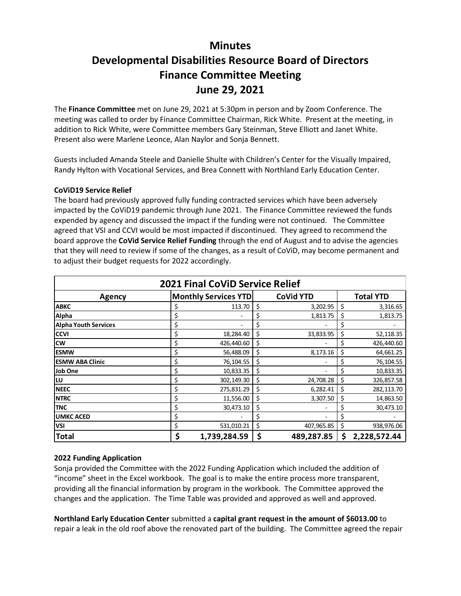## **Minutes Developmental Disabilities Resource Board of Directors Finance Committee Meeting June 29, 2021**

The **Finance Committee** met on June 29, 2021 at 5:30pm in person and by Zoom Conference. The meeting was called to order by Finance Committee Chairman, Rick White. Present at the meeting, in addition to Rick White, were Committee members Gary Steinman, Steve Elliott and Janet White. Present also were Marlene Leonce, Alan Naylor and Sonja Bennett.

Guests included Amanda Steele and Danielle Shulte with Children's Center for the Visually Impaired, Randy Hylton with Vocational Services, and Brea Connett with Northland Early Education Center.

## **CoViD19 Service Relief**

The board had previously approved fully funding contracted services which have been adversely impacted by the CoViD19 pandemic through June 2021. The Finance Committee reviewed the funds expended by agency and discussed the impact if the funding were not continued. The Committee agreed that VSI and CCVI would be most impacted if discontinued. They agreed to recommend the board approve the **CoVid Service Relief Funding** through the end of August and to advise the agencies that they will need to review if some of the changes, as a result of CoViD, may become permanent and to adjust their budget requests for 2022 accordingly.

| <b>2021 Final CoViD Service Relief</b> |                             |              |                  |            |                  |              |
|----------------------------------------|-----------------------------|--------------|------------------|------------|------------------|--------------|
| Agency                                 | <b>Monthly Services YTD</b> |              | <b>CoVid YTD</b> |            | <b>Total YTD</b> |              |
| <b>ABKC</b>                            | Ş                           | 113.70       | \$               | 3,202.95   | \$               | 3,316.65     |
| Alpha                                  | \$                          |              | \$               | 1,813.75   | \$               | 1,813.75     |
| Alpha Youth Services                   | \$                          |              | \$               |            | Ş                |              |
| <b>CCVI</b>                            | \$                          | 18,284.40    | \$               | 33,833.95  | \$               | 52,118.35    |
| <b>cw</b>                              | \$                          | 426,440.60   | \$               |            | S                | 426,440.60   |
| lESMW                                  | \$                          | 56,488.09    | \$               | 8,173.16   | \$               | 64,661.25    |
| <b>IESMW ABA Clinic</b>                | \$                          | 76,104.55    | \$               |            | S                | 76,104.55    |
| Job One                                | \$                          | 10,833.35    | \$               |            | \$               | 10,833.35    |
| llu                                    | \$                          | 302,149.30   | \$               | 24,708.28  | \$               | 326,857.58   |
| <b>INEEC</b>                           | \$                          | 275,831.29   | \$               | 6,282.41   | \$               | 282,113.70   |
| <b>NTRC</b>                            | \$                          | 11,556.00    | \$               | 3,307.50   | \$               | 14,863.50    |
| <b>TNC</b>                             | \$                          | 30,473.10    | \$               |            | Ş                | 30,473.10    |
| <b>UMKC ACED</b>                       | \$                          |              | \$               |            | Ş                |              |
| <b>VSI</b>                             | \$                          | 531,010.21   | \$               | 407,965.85 | \$               | 938,976.06   |
| <b>Total</b>                           | \$                          | 1,739,284.59 | \$               | 489,287.85 | \$               | 2,228,572.44 |

## **2022 Funding Application**

Sonja provided the Committee with the 2022 Funding Application which included the addition of "income" sheet in the Excel workbook. The goal is to make the entire process more transparent, providing all the financial information by program in the workbook. The Committee approved the changes and the application. The Time Table was provided and approved as well and approved.

**Northland Early Education Center** submitted a **capital grant request in the amount of \$6013.00** to repair a leak in the old roof above the renovated part of the building. The Committee agreed the repair